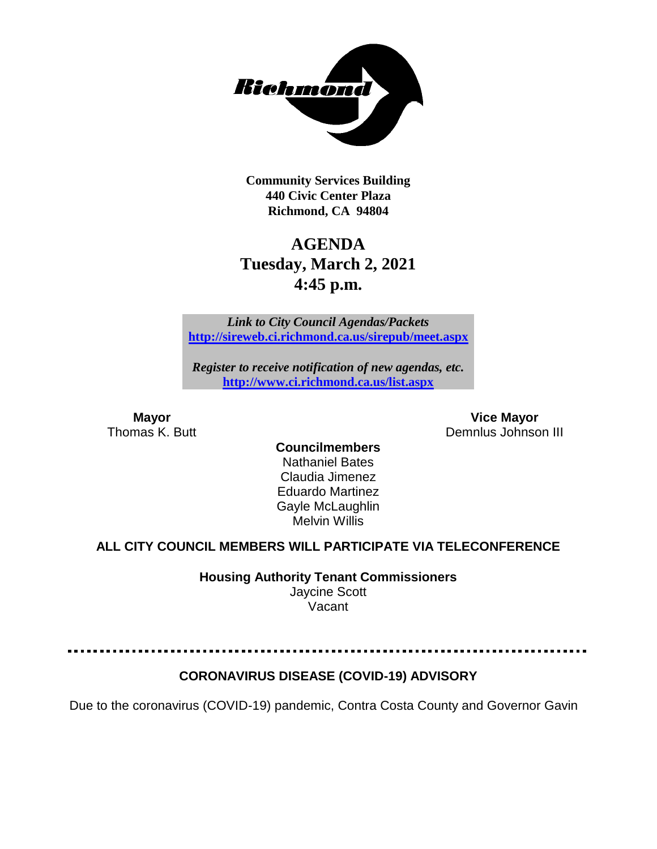

**Community Services Building 440 Civic Center Plaza Richmond, CA 94804**

# **AGENDA Tuesday, March 2, 2021 4:45 p.m.**

*Link to City Council Agendas/Packets* **<http://sireweb.ci.richmond.ca.us/sirepub/meet.aspx>**

*Register to receive notification of new agendas, etc.* **<http://www.ci.richmond.ca.us/list.aspx>**

**Mayor Vice Mayor** Thomas K. Butt **Demnlus Johnson III** 

**Councilmembers** Nathaniel Bates Claudia Jimenez Eduardo Martinez Gayle McLaughlin Melvin Willis

## **ALL CITY COUNCIL MEMBERS WILL PARTICIPATE VIA TELECONFERENCE**

**Housing Authority Tenant Commissioners**

Jaycine Scott Vacant

# **CORONAVIRUS DISEASE (COVID-19) ADVISORY**

Due to the coronavirus (COVID-19) pandemic, Contra Costa County and Governor Gavin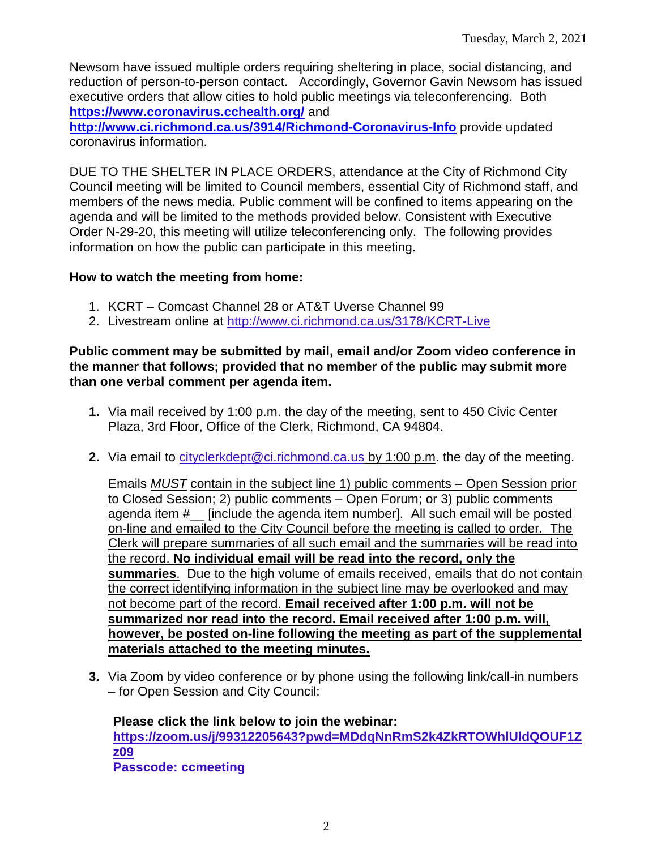Newsom have issued multiple orders requiring sheltering in place, social distancing, and reduction of person-to-person contact. Accordingly, Governor Gavin Newsom has issued executive orders that allow cities to hold public meetings via teleconferencing. Both **<https://www.coronavirus.cchealth.org/>** and

**<http://www.ci.richmond.ca.us/3914/Richmond-Coronavirus-Info>** provide updated coronavirus information.

DUE TO THE SHELTER IN PLACE ORDERS, attendance at the City of Richmond City Council meeting will be limited to Council members, essential City of Richmond staff, and members of the news media. Public comment will be confined to items appearing on the agenda and will be limited to the methods provided below. Consistent with Executive Order N-29-20, this meeting will utilize teleconferencing only. The following provides information on how the public can participate in this meeting.

#### **How to watch the meeting from home:**

- 1. KCRT Comcast Channel 28 or AT&T Uverse Channel 99
- 2. Livestream online at<http://www.ci.richmond.ca.us/3178/KCRT-Live>

#### **Public comment may be submitted by mail, email and/or Zoom video conference in the manner that follows; provided that no member of the public may submit more than one verbal comment per agenda item.**

- **1.** Via mail received by 1:00 p.m. the day of the meeting, sent to 450 Civic Center Plaza, 3rd Floor, Office of the Clerk, Richmond, CA 94804.
- **2.** Via email to [cityclerkdept@ci.richmond.ca.us](mailto:cityclerkdept@ci.richmond.ca.us) by 1:00 p.m. the day of the meeting.

Emails *MUST* contain in the subject line 1) public comments – Open Session prior to Closed Session; 2) public comments – Open Forum; or 3) public comments agenda item #\_\_ [include the agenda item number]. All such email will be posted on-line and emailed to the City Council before the meeting is called to order. The Clerk will prepare summaries of all such email and the summaries will be read into the record. **No individual email will be read into the record, only the summaries**. Due to the high volume of emails received, emails that do not contain the correct identifying information in the subject line may be overlooked and may not become part of the record. **Email received after 1:00 p.m. will not be summarized nor read into the record. Email received after 1:00 p.m. will, however, be posted on-line following the meeting as part of the supplemental materials attached to the meeting minutes.**

**3.** Via Zoom by video conference or by phone using the following link/call-in numbers – for Open Session and City Council:

**Please click the link below to join the webinar: [https://zoom.us/j/99312205643?pwd=MDdqNnRmS2k4ZkRTOWhlUldQOUF1Z](https://zoom.us/j/99312205643?pwd=MDdqNnRmS2k4ZkRTOWhlUldQOUF1Zz09) [z09](https://zoom.us/j/99312205643?pwd=MDdqNnRmS2k4ZkRTOWhlUldQOUF1Zz09) Passcode: ccmeeting**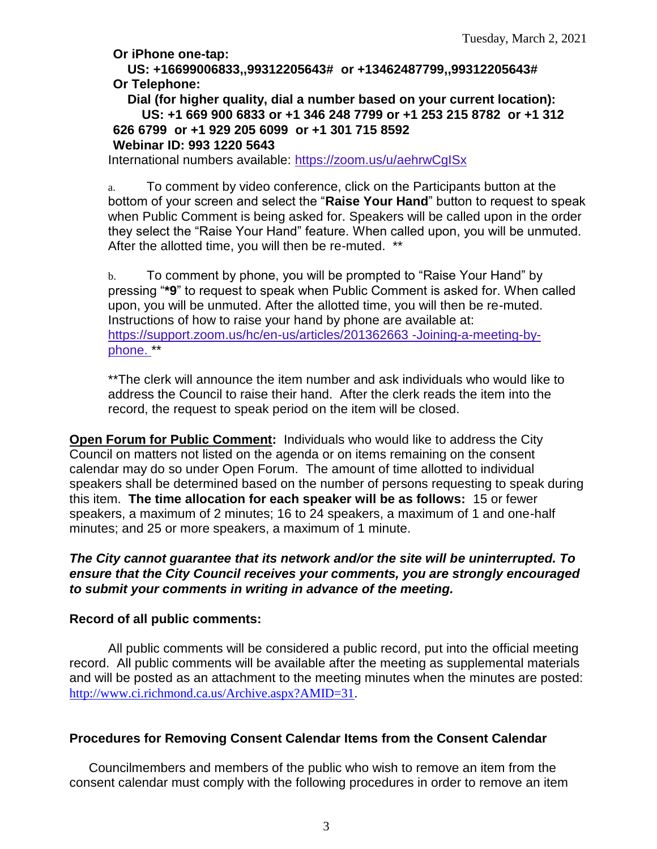**Or iPhone one-tap:**

**US: +16699006833,,99312205643# or +13462487799,,99312205643# Or Telephone:**

**Dial (for higher quality, dial a number based on your current location): US: +1 669 900 6833 or +1 346 248 7799 or +1 253 215 8782 or +1 312 626 6799 or +1 929 205 6099 or +1 301 715 8592 Webinar ID: 993 1220 5643**

International numbers available: <https://zoom.us/u/aehrwCgISx>

a. To comment by video conference, click on the Participants button at the bottom of your screen and select the "**Raise Your Hand**" button to request to speak when Public Comment is being asked for. Speakers will be called upon in the order they select the "Raise Your Hand" feature. When called upon, you will be unmuted. After the allotted time, you will then be re-muted. \*\*

b. To comment by phone, you will be prompted to "Raise Your Hand" by pressing "**\*9**" to request to speak when Public Comment is asked for. When called upon, you will be unmuted. After the allotted time, you will then be re-muted. Instructions of how to raise your hand by phone are available at: [https://support.zoom.us/hc/en-us/articles/201362663 -Joining-a-meeting-by](https://support.zoom.us/hc/en-us/articles/201362663)[phone.](https://support.zoom.us/hc/en-us/articles/201362663) \*\*

\*\*The clerk will announce the item number and ask individuals who would like to address the Council to raise their hand. After the clerk reads the item into the record, the request to speak period on the item will be closed.

**Open Forum for Public Comment:** Individuals who would like to address the City Council on matters not listed on the agenda or on items remaining on the consent calendar may do so under Open Forum. The amount of time allotted to individual speakers shall be determined based on the number of persons requesting to speak during this item. **The time allocation for each speaker will be as follows:** 15 or fewer speakers, a maximum of 2 minutes; 16 to 24 speakers, a maximum of 1 and one-half minutes; and 25 or more speakers, a maximum of 1 minute.

*The City cannot guarantee that its network and/or the site will be uninterrupted. To ensure that the City Council receives your comments, you are strongly encouraged to submit your comments in writing in advance of the meeting.* 

#### **Record of all public comments:**

All public comments will be considered a public record, put into the official meeting record. All public comments will be available after the meeting as supplemental materials and will be posted as an attachment to the meeting minutes when the minutes are posted: [http://www.ci.richmond.ca.us/Archive.aspx?AMID=31.](http://www.ci.richmond.ca.us/Archive.aspx?AMID=31)

## **Procedures for Removing Consent Calendar Items from the Consent Calendar**

Councilmembers and members of the public who wish to remove an item from the consent calendar must comply with the following procedures in order to remove an item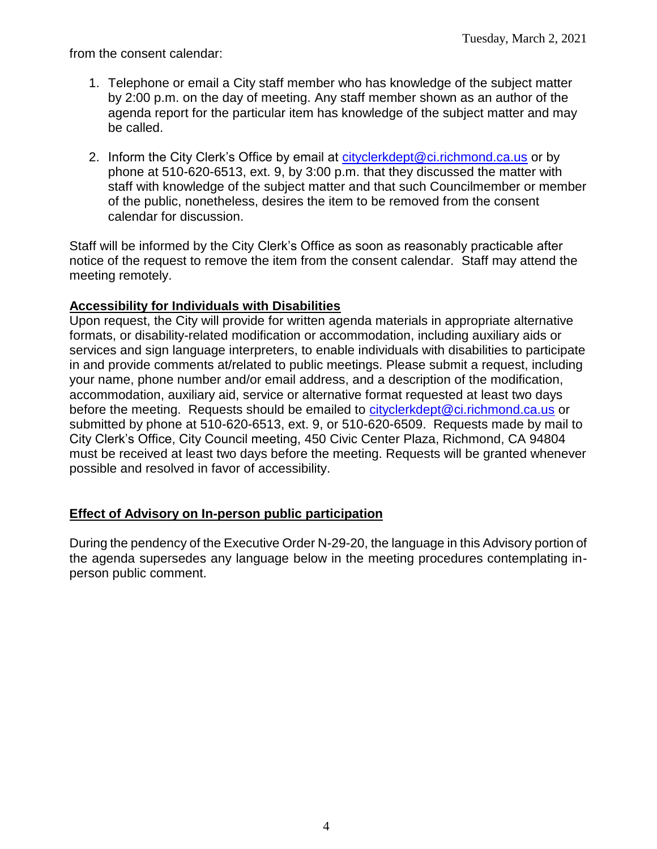from the consent calendar:

- 1. Telephone or email a City staff member who has knowledge of the subject matter by 2:00 p.m. on the day of meeting. Any staff member shown as an author of the agenda report for the particular item has knowledge of the subject matter and may be called.
- 2. Inform the City Clerk's Office by email at [cityclerkdept@ci.richmond.ca.us](mailto:cityclerkdept@ci.richmond.ca.us) or by phone at 510-620-6513, ext. 9, by 3:00 p.m. that they discussed the matter with staff with knowledge of the subject matter and that such Councilmember or member of the public, nonetheless, desires the item to be removed from the consent calendar for discussion.

Staff will be informed by the City Clerk's Office as soon as reasonably practicable after notice of the request to remove the item from the consent calendar. Staff may attend the meeting remotely.

#### **Accessibility for Individuals with Disabilities**

Upon request, the City will provide for written agenda materials in appropriate alternative formats, or disability-related modification or accommodation, including auxiliary aids or services and sign language interpreters, to enable individuals with disabilities to participate in and provide comments at/related to public meetings. Please submit a request, including your name, phone number and/or email address, and a description of the modification, accommodation, auxiliary aid, service or alternative format requested at least two days before the meeting. Requests should be emailed to [cityclerkdept@ci.richmond.ca.us](mailto:cityclerkdept@ci.richmond.ca.us) or submitted by phone at 510-620-6513, ext. 9, or 510-620-6509. Requests made by mail to City Clerk's Office, City Council meeting, 450 Civic Center Plaza, Richmond, CA 94804 must be received at least two days before the meeting. Requests will be granted whenever possible and resolved in favor of accessibility.

#### **Effect of Advisory on In-person public participation**

During the pendency of the Executive Order N-29-20, the language in this Advisory portion of the agenda supersedes any language below in the meeting procedures contemplating inperson public comment.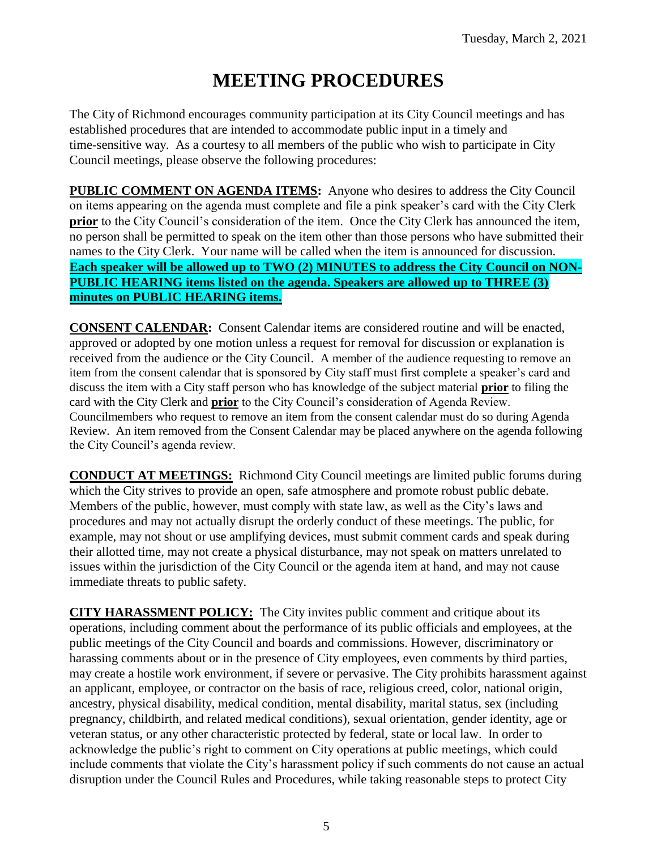# **MEETING PROCEDURES**

The City of Richmond encourages community participation at its City Council meetings and has established procedures that are intended to accommodate public input in a timely and time-sensitive way. As a courtesy to all members of the public who wish to participate in City Council meetings, please observe the following procedures:

**PUBLIC COMMENT ON AGENDA ITEMS:** Anyone who desires to address the City Council on items appearing on the agenda must complete and file a pink speaker's card with the City Clerk **prior** to the City Council's consideration of the item. Once the City Clerk has announced the item, no person shall be permitted to speak on the item other than those persons who have submitted their names to the City Clerk. Your name will be called when the item is announced for discussion. **Each speaker will be allowed up to TWO (2) MINUTES to address the City Council on NON-PUBLIC HEARING items listed on the agenda. Speakers are allowed up to THREE (3) minutes on PUBLIC HEARING items.**

**CONSENT CALENDAR:** Consent Calendar items are considered routine and will be enacted, approved or adopted by one motion unless a request for removal for discussion or explanation is received from the audience or the City Council. A member of the audience requesting to remove an item from the consent calendar that is sponsored by City staff must first complete a speaker's card and discuss the item with a City staff person who has knowledge of the subject material **prior** to filing the card with the City Clerk and **prior** to the City Council's consideration of Agenda Review. Councilmembers who request to remove an item from the consent calendar must do so during Agenda Review. An item removed from the Consent Calendar may be placed anywhere on the agenda following the City Council's agenda review.

**CONDUCT AT MEETINGS:** Richmond City Council meetings are limited public forums during which the City strives to provide an open, safe atmosphere and promote robust public debate. Members of the public, however, must comply with state law, as well as the City's laws and procedures and may not actually disrupt the orderly conduct of these meetings. The public, for example, may not shout or use amplifying devices, must submit comment cards and speak during their allotted time, may not create a physical disturbance, may not speak on matters unrelated to issues within the jurisdiction of the City Council or the agenda item at hand, and may not cause immediate threats to public safety.

**CITY HARASSMENT POLICY:** The City invites public comment and critique about its operations, including comment about the performance of its public officials and employees, at the public meetings of the City Council and boards and commissions. However, discriminatory or harassing comments about or in the presence of City employees, even comments by third parties, may create a hostile work environment, if severe or pervasive. The City prohibits harassment against an applicant, employee, or contractor on the basis of race, religious creed, color, national origin, ancestry, physical disability, medical condition, mental disability, marital status, sex (including pregnancy, childbirth, and related medical conditions), sexual orientation, gender identity, age or veteran status, or any other characteristic protected by federal, state or local law. In order to acknowledge the public's right to comment on City operations at public meetings, which could include comments that violate the City's harassment policy if such comments do not cause an actual disruption under the Council Rules and Procedures, while taking reasonable steps to protect City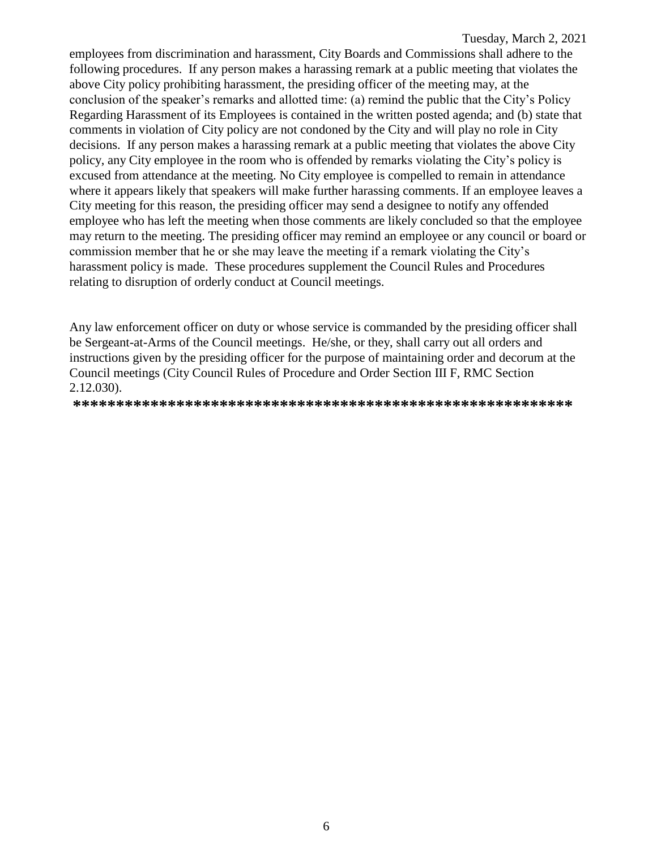employees from discrimination and harassment, City Boards and Commissions shall adhere to the following procedures. If any person makes a harassing remark at a public meeting that violates the above City policy prohibiting harassment, the presiding officer of the meeting may, at the conclusion of the speaker's remarks and allotted time: (a) remind the public that the City's Policy Regarding Harassment of its Employees is contained in the written posted agenda; and (b) state that comments in violation of City policy are not condoned by the City and will play no role in City decisions. If any person makes a harassing remark at a public meeting that violates the above City policy, any City employee in the room who is offended by remarks violating the City's policy is excused from attendance at the meeting. No City employee is compelled to remain in attendance where it appears likely that speakers will make further harassing comments. If an employee leaves a City meeting for this reason, the presiding officer may send a designee to notify any offended employee who has left the meeting when those comments are likely concluded so that the employee may return to the meeting. The presiding officer may remind an employee or any council or board or commission member that he or she may leave the meeting if a remark violating the City's harassment policy is made. These procedures supplement the Council Rules and Procedures relating to disruption of orderly conduct at Council meetings.

Any law enforcement officer on duty or whose service is commanded by the presiding officer shall be Sergeant-at-Arms of the Council meetings. He/she, or they, shall carry out all orders and instructions given by the presiding officer for the purpose of maintaining order and decorum at the Council meetings (City Council Rules of Procedure and Order Section III F, RMC Section 2.12.030).

**\*\*\*\*\*\*\*\*\*\*\*\*\*\*\*\*\*\*\*\*\*\*\*\*\*\*\*\*\*\*\*\*\*\*\*\*\*\*\*\*\*\*\*\*\*\*\*\*\*\*\*\*\*\*\*\*\*\***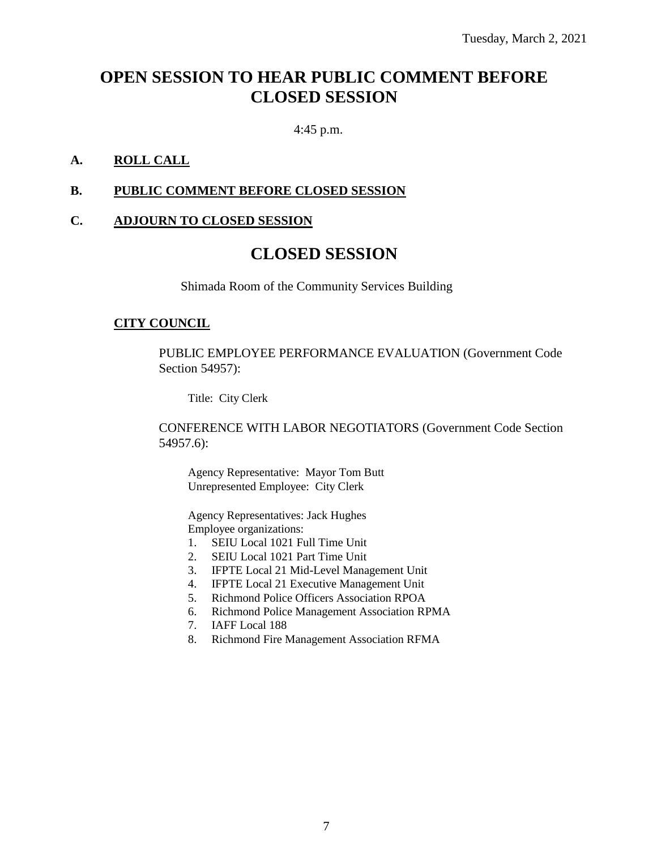# **OPEN SESSION TO HEAR PUBLIC COMMENT BEFORE CLOSED SESSION**

4:45 p.m.

#### **A. ROLL CALL**

#### **B. PUBLIC COMMENT BEFORE CLOSED SESSION**

#### **C. ADJOURN TO CLOSED SESSION**

# **CLOSED SESSION**

Shimada Room of the Community Services Building

#### **CITY COUNCIL**

PUBLIC EMPLOYEE PERFORMANCE EVALUATION (Government Code Section 54957):

Title: City Clerk

CONFERENCE WITH LABOR NEGOTIATORS (Government Code Section 54957.6):

Agency Representative: Mayor Tom Butt Unrepresented Employee: City Clerk

Agency Representatives: Jack Hughes Employee organizations:

- 1. SEIU Local 1021 Full Time Unit
- 2. SEIU Local 1021 Part Time Unit
- 3. IFPTE Local 21 Mid-Level Management Unit
- 4. IFPTE Local 21 Executive Management Unit
- 5. Richmond Police Officers Association RPOA
- 6. Richmond Police Management Association RPMA
- 7. IAFF Local 188
- 8. Richmond Fire Management Association RFMA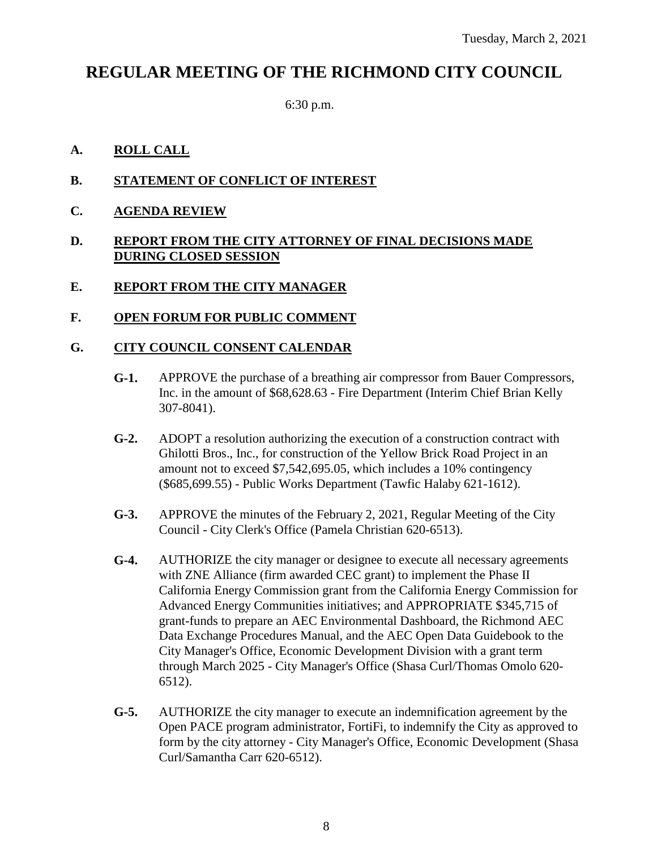# **REGULAR MEETING OF THE RICHMOND CITY COUNCIL**

6:30 p.m.

#### **A. ROLL CALL**

- **B. STATEMENT OF CONFLICT OF INTEREST**
- **C. AGENDA REVIEW**

#### **D. REPORT FROM THE CITY ATTORNEY OF FINAL DECISIONS MADE DURING CLOSED SESSION**

- **E. REPORT FROM THE CITY MANAGER**
- **F. OPEN FORUM FOR PUBLIC COMMENT**

#### **G. CITY COUNCIL CONSENT CALENDAR**

- **G-1.** APPROVE the purchase of a breathing air compressor from Bauer Compressors, Inc. in the amount of \$68,628.63 - Fire Department (Interim Chief Brian Kelly 307-8041).
- **G-2.** ADOPT a resolution authorizing the execution of a construction contract with Ghilotti Bros., Inc., for construction of the Yellow Brick Road Project in an amount not to exceed \$7,542,695.05, which includes a 10% contingency (\$685,699.55) - Public Works Department (Tawfic Halaby 621-1612).
- **G-3.** APPROVE the minutes of the February 2, 2021, Regular Meeting of the City Council - City Clerk's Office (Pamela Christian 620-6513).
- **G-4.** AUTHORIZE the city manager or designee to execute all necessary agreements with ZNE Alliance (firm awarded CEC grant) to implement the Phase II California Energy Commission grant from the California Energy Commission for Advanced Energy Communities initiatives; and APPROPRIATE \$345,715 of grant-funds to prepare an AEC Environmental Dashboard, the Richmond AEC Data Exchange Procedures Manual, and the AEC Open Data Guidebook to the City Manager's Office, Economic Development Division with a grant term through March 2025 - City Manager's Office (Shasa Curl/Thomas Omolo 620- 6512).
- **G-5.** AUTHORIZE the city manager to execute an indemnification agreement by the Open PACE program administrator, FortiFi, to indemnify the City as approved to form by the city attorney - City Manager's Office, Economic Development (Shasa Curl/Samantha Carr 620-6512).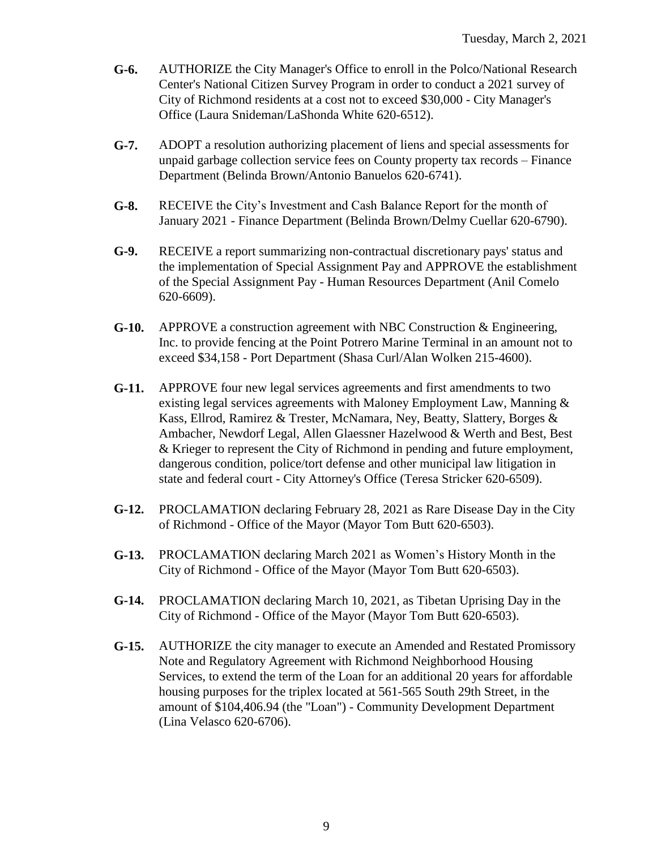- **G-6.** AUTHORIZE the City Manager's Office to enroll in the Polco/National Research Center's National Citizen Survey Program in order to conduct a 2021 survey of City of Richmond residents at a cost not to exceed \$30,000 - City Manager's Office (Laura Snideman/LaShonda White 620-6512).
- **G-7.** ADOPT a resolution authorizing placement of liens and special assessments for unpaid garbage collection service fees on County property tax records – Finance Department (Belinda Brown/Antonio Banuelos 620-6741).
- **G-8.** RECEIVE the City's Investment and Cash Balance Report for the month of January 2021 - Finance Department (Belinda Brown/Delmy Cuellar 620-6790).
- **G-9.** RECEIVE a report summarizing non-contractual discretionary pays' status and the implementation of Special Assignment Pay and APPROVE the establishment of the Special Assignment Pay - Human Resources Department (Anil Comelo 620-6609).
- **G-10.** APPROVE a construction agreement with NBC Construction & Engineering, Inc. to provide fencing at the Point Potrero Marine Terminal in an amount not to exceed \$34,158 - Port Department (Shasa Curl/Alan Wolken 215-4600).
- **G-11.** APPROVE four new legal services agreements and first amendments to two existing legal services agreements with Maloney Employment Law, Manning & Kass, Ellrod, Ramirez & Trester, McNamara, Ney, Beatty, Slattery, Borges & Ambacher, Newdorf Legal, Allen Glaessner Hazelwood & Werth and Best, Best & Krieger to represent the City of Richmond in pending and future employment, dangerous condition, police/tort defense and other municipal law litigation in state and federal court - City Attorney's Office (Teresa Stricker 620-6509).
- **G-12.** PROCLAMATION declaring February 28, 2021 as Rare Disease Day in the City of Richmond - Office of the Mayor (Mayor Tom Butt 620-6503).
- **G-13.** PROCLAMATION declaring March 2021 as Women's History Month in the City of Richmond - Office of the Mayor (Mayor Tom Butt 620-6503).
- **G-14.** PROCLAMATION declaring March 10, 2021, as Tibetan Uprising Day in the City of Richmond - Office of the Mayor (Mayor Tom Butt 620-6503).
- **G-15.** AUTHORIZE the city manager to execute an Amended and Restated Promissory Note and Regulatory Agreement with Richmond Neighborhood Housing Services, to extend the term of the Loan for an additional 20 years for affordable housing purposes for the triplex located at 561-565 South 29th Street, in the amount of \$104,406.94 (the "Loan") - Community Development Department (Lina Velasco 620-6706).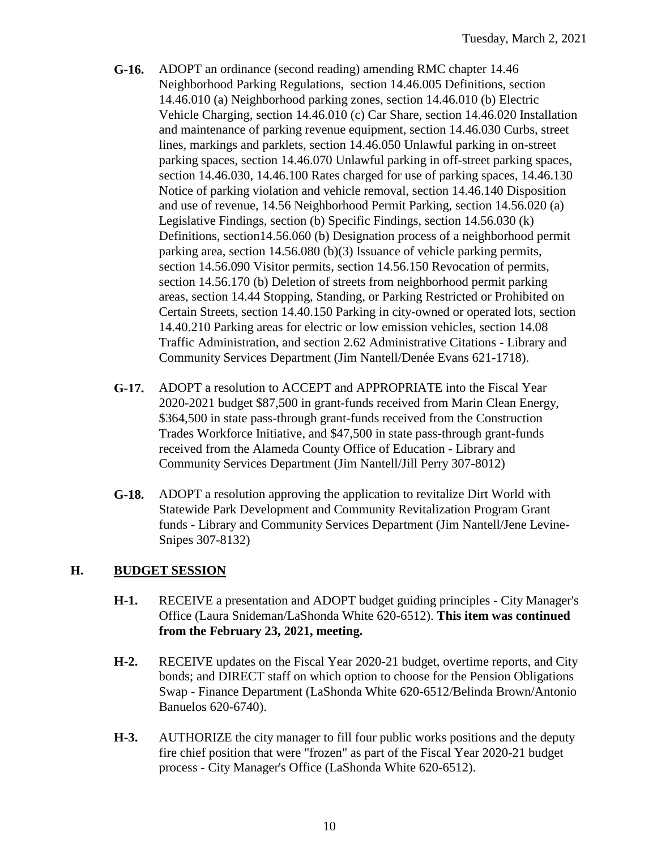- **G-16.** ADOPT an ordinance (second reading) amending RMC chapter 14.46 Neighborhood Parking Regulations, section 14.46.005 Definitions, section 14.46.010 (a) Neighborhood parking zones, section 14.46.010 (b) Electric Vehicle Charging, section 14.46.010 (c) Car Share, section 14.46.020 Installation and maintenance of parking revenue equipment, section 14.46.030 Curbs, street lines, markings and parklets, section 14.46.050 Unlawful parking in on-street parking spaces, section 14.46.070 Unlawful parking in off-street parking spaces, section 14.46.030, 14.46.100 Rates charged for use of parking spaces, 14.46.130 Notice of parking violation and vehicle removal, section 14.46.140 Disposition and use of revenue, 14.56 Neighborhood Permit Parking, section 14.56.020 (a) Legislative Findings, section (b) Specific Findings, section 14.56.030 (k) Definitions, section14.56.060 (b) Designation process of a neighborhood permit parking area, section 14.56.080 (b)(3) Issuance of vehicle parking permits, section 14.56.090 Visitor permits, section 14.56.150 Revocation of permits, section 14.56.170 (b) Deletion of streets from neighborhood permit parking areas, section 14.44 Stopping, Standing, or Parking Restricted or Prohibited on Certain Streets, section 14.40.150 Parking in city-owned or operated lots, section 14.40.210 Parking areas for electric or low emission vehicles, section 14.08 Traffic Administration, and section 2.62 Administrative Citations - Library and Community Services Department (Jim Nantell/Denée Evans 621-1718).
- **G-17.** ADOPT a resolution to ACCEPT and APPROPRIATE into the Fiscal Year 2020-2021 budget \$87,500 in grant-funds received from Marin Clean Energy, \$364,500 in state pass-through grant-funds received from the Construction Trades Workforce Initiative, and \$47,500 in state pass-through grant-funds received from the Alameda County Office of Education - Library and Community Services Department (Jim Nantell/Jill Perry 307-8012)
- **G-18.** ADOPT a resolution approving the application to revitalize Dirt World with Statewide Park Development and Community Revitalization Program Grant funds - Library and Community Services Department (Jim Nantell/Jene Levine-Snipes 307-8132)

## **H. BUDGET SESSION**

- **H-1.** RECEIVE a presentation and ADOPT budget guiding principles City Manager's Office (Laura Snideman/LaShonda White 620-6512). **This item was continued from the February 23, 2021, meeting.**
- **H-2.** RECEIVE updates on the Fiscal Year 2020-21 budget, overtime reports, and City bonds; and DIRECT staff on which option to choose for the Pension Obligations Swap - Finance Department (LaShonda White 620-6512/Belinda Brown/Antonio Banuelos 620-6740).
- **H-3.** AUTHORIZE the city manager to fill four public works positions and the deputy fire chief position that were "frozen" as part of the Fiscal Year 2020-21 budget process - City Manager's Office (LaShonda White 620-6512).